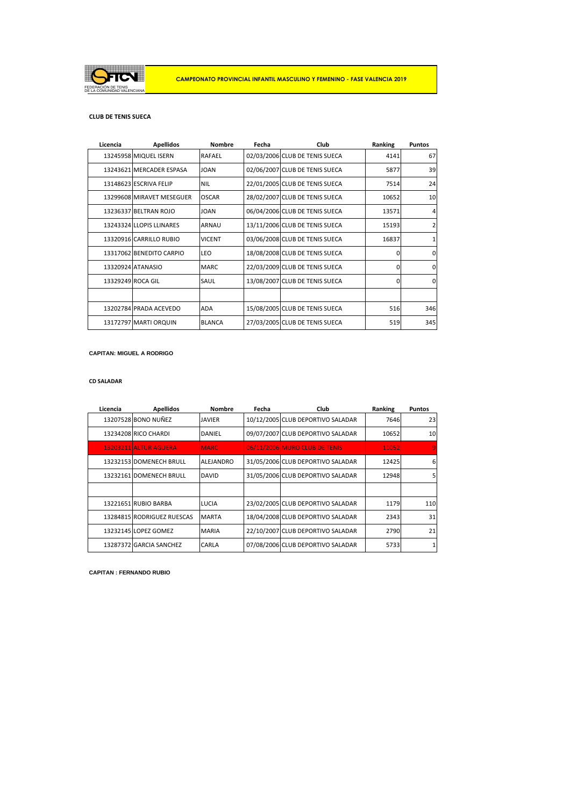

## **CLUB DE TENIS SUECA**

| <b>Apellidos</b>          | <b>Nombre</b> | Fecha                     | Club | Ranking                                                                                                                                                                                                                                                                                                                                                                                                              | <b>Puntos</b>  |
|---------------------------|---------------|---------------------------|------|----------------------------------------------------------------------------------------------------------------------------------------------------------------------------------------------------------------------------------------------------------------------------------------------------------------------------------------------------------------------------------------------------------------------|----------------|
| 13245958 MIQUEL ISERN     | <b>RAFAEL</b> |                           |      | 4141                                                                                                                                                                                                                                                                                                                                                                                                                 | 67             |
| 13243621 MERCADER ESPASA  |               |                           |      | 5877                                                                                                                                                                                                                                                                                                                                                                                                                 | 39             |
| 13148623 ESCRIVA FELIP    | <b>NIL</b>    |                           |      | 7514                                                                                                                                                                                                                                                                                                                                                                                                                 | 24             |
| 13299608 MIRAVET MESEGUER | <b>OSCAR</b>  |                           |      | 10652                                                                                                                                                                                                                                                                                                                                                                                                                | 10             |
| 13236337 BELTRAN ROJO     | <b>JOAN</b>   |                           |      | 13571                                                                                                                                                                                                                                                                                                                                                                                                                | $\overline{4}$ |
| 13243324 LLOPIS LLINARES  | <b>ARNAU</b>  |                           |      | 15193                                                                                                                                                                                                                                                                                                                                                                                                                | $\overline{2}$ |
| 13320916 CARRILLO RUBIO   | <b>VICENT</b> |                           |      | 16837                                                                                                                                                                                                                                                                                                                                                                                                                | 1              |
| 13317062 BENEDITO CARPIO  | <b>LEO</b>    |                           |      | $\Omega$                                                                                                                                                                                                                                                                                                                                                                                                             | $\overline{0}$ |
| 13320924 ATANASIO         | <b>MARC</b>   |                           |      | $\Omega$                                                                                                                                                                                                                                                                                                                                                                                                             | $\Omega$       |
| 13329249 ROCA GIL         | SAUL          |                           |      | $\Omega$                                                                                                                                                                                                                                                                                                                                                                                                             | $\Omega$       |
|                           |               |                           |      |                                                                                                                                                                                                                                                                                                                                                                                                                      |                |
| 13202784 PRADA ACEVEDO    |               |                           |      | 516                                                                                                                                                                                                                                                                                                                                                                                                                  | 346            |
| 13172797 MARTI ORQUIN     | <b>BLANCA</b> |                           |      | 519                                                                                                                                                                                                                                                                                                                                                                                                                  | 345            |
|                           |               | <b>JOAN</b><br><b>ADA</b> |      | 02/03/2006 CLUB DE TENIS SUECA<br>02/06/2007 CLUB DE TENIS SUECA<br>22/01/2005 CLUB DE TENIS SUECA<br>28/02/2007 CLUB DE TENIS SUECA<br>06/04/2006 CLUB DE TENIS SUECA<br>13/11/2006 CLUB DE TENIS SUECA<br>03/06/2008 CLUB DE TENIS SUECA<br>18/08/2008 CLUB DE TENIS SUECA<br>22/03/2009 CLUB DE TENIS SUECA<br>13/08/2007 CLUB DE TENIS SUECA<br>15/08/2005 CLUB DE TENIS SUECA<br>27/03/2005 CLUB DE TENIS SUECA |                |

## **CAPITAN: MIGUEL A RODRIGO**

### **CD SALADAR**

| Licencia | <b>Apellidos</b>           | <b>Nombre</b> | Fecha | Club                              | Ranking | <b>Puntos</b> |
|----------|----------------------------|---------------|-------|-----------------------------------|---------|---------------|
|          | 13207528 BONO NUÑEZ        | <b>JAVIER</b> |       | 10/12/2005 CLUB DEPORTIVO SALADAR | 7646    | 23            |
|          | 13234208 RICO CHARDI       | <b>DANIEL</b> |       | 09/07/2007 CLUB DEPORTIVO SALADAR | 10652   | 10            |
|          | 13203211 ALTUR AGUERA      | <b>MARC</b>   |       | 06/11/2006 MURO CLUB DE TENIS     | 11052   | $\mathbf{Q}$  |
|          | 13232153 DOMENECH BRULL    | ALEJANDRO     |       | 31/05/2006 CLUB DEPORTIVO SALADAR | 12425   | 6             |
|          | 13232161 DOMENECH BRULL    | <b>DAVID</b>  |       | 31/05/2006 CLUB DEPORTIVO SALADAR | 12948   | 5             |
|          |                            |               |       |                                   |         |               |
|          | 13221651 RUBIO BARBA       | LUCIA         |       | 23/02/2005 CLUB DEPORTIVO SALADAR | 1179    | 110           |
|          | 13284815 RODRIGUEZ RUESCAS | <b>MARTA</b>  |       | 18/04/2008 CLUB DEPORTIVO SALADAR | 2343    | 31            |
|          | 13232145 LOPEZ GOMEZ       | <b>MARIA</b>  |       | 22/10/2007 CLUB DEPORTIVO SALADAR | 2790    | 21            |
|          | 13287372 GARCIA SANCHEZ    | <b>CARLA</b>  |       | 07/08/2006 CLUB DEPORTIVO SALADAR | 5733    | $\mathbf{1}$  |

**CAPITAN : FERNANDO RUBIO**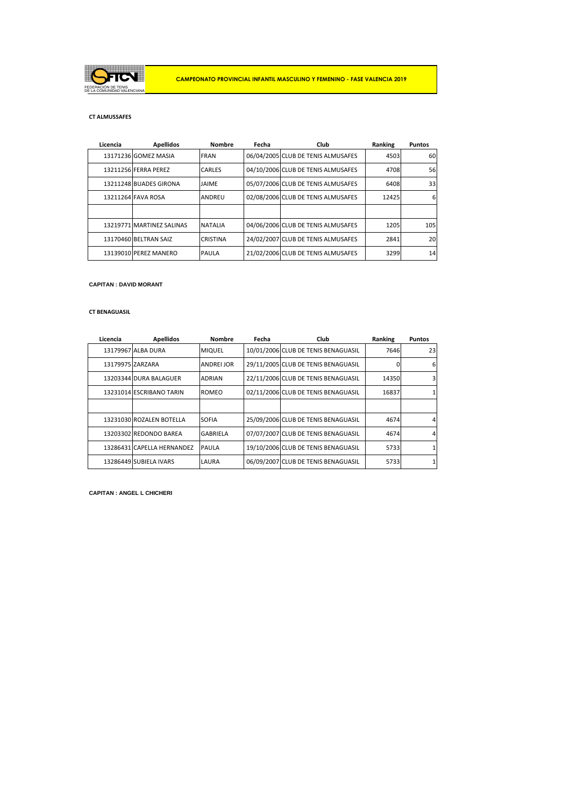

## **CT ALMUSSAFES**

| Licencia | <b>Apellidos</b>          | <b>Nombre</b>   | Fecha | Club                               | Ranking | <b>Puntos</b> |
|----------|---------------------------|-----------------|-------|------------------------------------|---------|---------------|
|          | 13171236 GOMEZ MASIA      | <b>FRAN</b>     |       | 06/04/2005 CLUB DE TENIS ALMUSAFES | 4503    | 60            |
|          | 13211256 FERRA PEREZ      | <b>CARLES</b>   |       | 04/10/2006 CLUB DE TENIS ALMUSAFES | 4708    | 56            |
|          | 13211248 BUADES GIRONA    | JAIME           |       | 05/07/2006 CLUB DE TENIS ALMUSAFES | 6408    | 33            |
|          | 13211264 FAVA ROSA        | <b>ANDREU</b>   |       | 02/08/2006 CLUB DE TENIS ALMUSAFES | 12425   | 6             |
|          |                           |                 |       |                                    |         |               |
|          | 13219771 MARTINEZ SALINAS | <b>NATALIA</b>  |       | 04/06/2006 CLUB DE TENIS ALMUSAFES | 1205    | 105           |
|          | 13170460 BELTRAN SAIZ     | <b>CRISTINA</b> |       | 24/02/2007 CLUB DE TENIS ALMUSAFES | 2841    | 20            |
|          | 13139010 PEREZ MANERO     | <b>PAULA</b>    |       | 21/02/2006 CLUB DE TENIS ALMUSAFES | 3299    | 14            |

### **CAPITAN : DAVID MORANT**

### **CT BENAGUASIL**

| Licencia         | <b>Apellidos</b>           | <b>Nombre</b>     | Fecha | Club                                | Ranking | <b>Puntos</b> |
|------------------|----------------------------|-------------------|-------|-------------------------------------|---------|---------------|
|                  | 13179967 ALBA DURA         | <b>MIQUEL</b>     |       | 10/01/2006 CLUB DE TENIS BENAGUASIL | 7646    | 23            |
| 13179975 ZARZARA |                            | <b>ANDREI JOR</b> |       | 29/11/2005 CLUB DE TENIS BENAGUASIL |         | 6             |
|                  | 13203344 DURA BALAGUER     | <b>ADRIAN</b>     |       | 22/11/2006 CLUB DE TENIS BENAGUASIL | 14350   |               |
|                  | 13231014 ESCRIBANO TARIN   | ROMEO             |       | 02/11/2006 CLUB DE TENIS BENAGUASIL | 16837   |               |
|                  |                            |                   |       |                                     |         |               |
|                  | 13231030 ROZALEN BOTELLA   | <b>SOFIA</b>      |       | 25/09/2006 CLUB DE TENIS BENAGUASIL | 4674    |               |
|                  | 13203302 REDONDO BAREA     | <b>GABRIELA</b>   |       | 07/07/2007 CLUB DE TENIS BENAGUASIL | 4674    |               |
|                  | 13286431 CAPELLA HERNANDEZ | PAULA             |       | 19/10/2006 CLUB DE TENIS BENAGUASIL | 5733    |               |
|                  | 13286449 SUBIELA IVARS     | LAURA             |       | 06/09/2007 CLUB DE TENIS BENAGUASIL | 5733    |               |
|                  |                            |                   |       |                                     |         |               |

**CAPITAN : ANGEL L CHICHERI**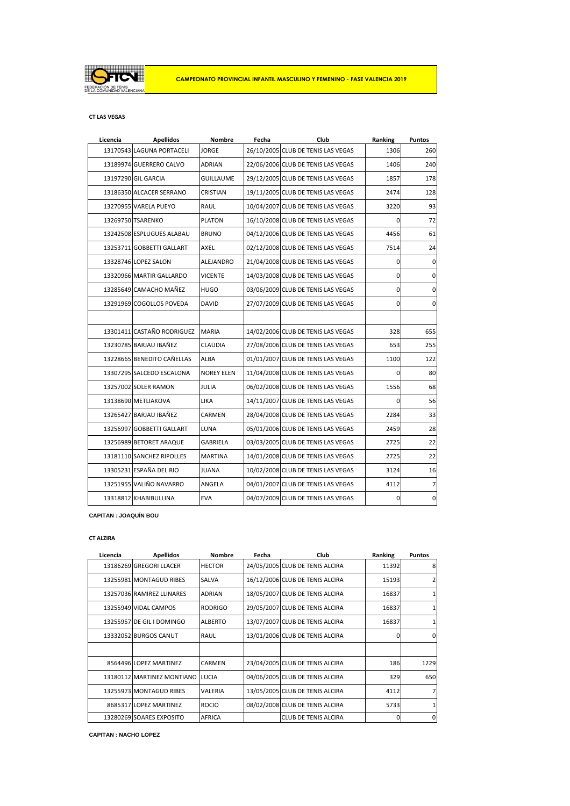

## **CT LAS VEGAS**

| Licencia | <b>Apellidos</b>           | <b>Nombre</b>     | Fecha | Club                               | Ranking     | Puntos         |
|----------|----------------------------|-------------------|-------|------------------------------------|-------------|----------------|
|          | 13170543 LAGUNA PORTACELI  | <b>JORGE</b>      |       | 26/10/2005 CLUB DE TENIS LAS VEGAS | 1306        | 260            |
|          | 13189974 GUERRERO CALVO    | <b>ADRIAN</b>     |       | 22/06/2006 CLUB DE TENIS LAS VEGAS | 1406        | 240            |
|          | 13197290 GIL GARCIA        | <b>GUILLAUME</b>  |       | 29/12/2005 CLUB DE TENIS LAS VEGAS | 1857        | 178            |
|          | 13186350 ALCACER SERRANO   | <b>CRISTIAN</b>   |       | 19/11/2005 CLUB DE TENIS LAS VEGAS | 2474        | 128            |
|          | 13270955 VARELA PUEYO      | RAUL              |       | 10/04/2007 CLUB DE TENIS LAS VEGAS | 3220        | 93             |
|          | 13269750 TSARENKO          | <b>PLATON</b>     |       | 16/10/2008 CLUB DE TENIS LAS VEGAS | 0           | 72             |
|          | 13242508 ESPLUGUES ALABAU  | <b>BRUNO</b>      |       | 04/12/2006 CLUB DE TENIS LAS VEGAS | 4456        | 61             |
|          | 13253711 GOBBETTI GALLART  | AXEL              |       | 02/12/2008 CLUB DE TENIS LAS VEGAS | 7514        | 24             |
|          | 13328746 LOPEZ SALON       | <b>ALEJANDRO</b>  |       | 21/04/2008 CLUB DE TENIS LAS VEGAS | 0           | $\mathbf 0$    |
|          | 13320966 MARTIR GALLARDO   | <b>VICENTE</b>    |       | 14/03/2008 CLUB DE TENIS LAS VEGAS | 0           | 0              |
|          | 13285649 CAMACHO MAÑEZ     | <b>HUGO</b>       |       | 03/06/2009 CLUB DE TENIS LAS VEGAS | 0           | $\pmb{0}$      |
|          | 13291969 COGOLLOS POVEDA   | <b>DAVID</b>      |       | 27/07/2009 CLUB DE TENIS LAS VEGAS | $\mathbf 0$ | $\mathbf 0$    |
|          |                            |                   |       |                                    |             |                |
|          | 13301411 CASTAÑO RODRIGUEZ | <b>MARIA</b>      |       | 14/02/2006 CLUB DE TENIS LAS VEGAS | 328         | 655            |
|          | 13230785 BARJAU IBAÑEZ     | <b>CLAUDIA</b>    |       | 27/08/2006 CLUB DE TENIS LAS VEGAS | 653         | 255            |
|          | 13228665 BENEDITO CAÑELLAS | <b>ALBA</b>       |       | 01/01/2007 CLUB DE TENIS LAS VEGAS | 1100        | 122            |
|          | 13307295 SALCEDO ESCALONA  | <b>NOREY ELEN</b> |       | 11/04/2008 CLUB DE TENIS LAS VEGAS | 0           | 80             |
|          | 13257002 SOLER RAMON       | <b>JULIA</b>      |       | 06/02/2008 CLUB DE TENIS LAS VEGAS | 1556        | 68             |
|          | 13138690 METLIAKOVA        | <b>LIKA</b>       |       | 14/11/2007 CLUB DE TENIS LAS VEGAS | 0           | 56             |
|          | 13265427 BARJAU IBAÑEZ     | CARMEN            |       | 28/04/2008 CLUB DE TENIS LAS VEGAS | 2284        | 33             |
|          | 13256997 GOBBETTI GALLART  | <b>LUNA</b>       |       | 05/01/2006 CLUB DE TENIS LAS VEGAS | 2459        | 28             |
|          | 13256989 BETORET ARAQUE    | <b>GABRIELA</b>   |       | 03/03/2005 CLUB DE TENIS LAS VEGAS | 2725        | 22             |
|          | 13181110 SANCHEZ RIPOLLES  | <b>MARTINA</b>    |       | 14/01/2008 CLUB DE TENIS LAS VEGAS | 2725        | 22             |
|          | 13305231 ESPAÑA DEL RIO    | <b>JUANA</b>      |       | 10/02/2008 CLUB DE TENIS LAS VEGAS | 3124        | 16             |
|          | 13251955 VALIÑO NAVARRO    | ANGELA            |       | 04/01/2007 CLUB DE TENIS LAS VEGAS | 4112        | $\overline{7}$ |
|          | 13318812 KHABIBULLINA      | EVA               |       | 04/07/2009 CLUB DE TENIS LAS VEGAS | 0           | $\mathbf 0$    |
|          |                            |                   |       |                                    |             |                |

## **CAPITAN : JOAQUÍN BOU**

## **CT ALZIRA**

| Licencia | <b>Apellidos</b>           | <b>Nombre</b>  | Fecha | Club                            | Ranking  | <b>Puntos</b> |
|----------|----------------------------|----------------|-------|---------------------------------|----------|---------------|
|          | 13186269 GREGORI LLACER    | <b>HECTOR</b>  |       | 24/05/2005 CLUB DE TENIS ALCIRA | 11392    | 8             |
|          | 13255981 MONTAGUD RIBES    | <b>SALVA</b>   |       | 16/12/2006 CLUB DE TENIS ALCIRA | 15193    |               |
|          | 13257036 RAMIREZ LLINARES  | <b>ADRIAN</b>  |       | 18/05/2007 CLUB DE TENIS ALCIRA | 16837    |               |
|          | 13255949 VIDAL CAMPOS      | <b>RODRIGO</b> |       | 29/05/2007 CLUB DE TENIS ALCIRA | 16837    |               |
|          | 13255957 DE GIL I DOMINGO  | <b>ALBERTO</b> |       | 13/07/2007 CLUB DE TENIS ALCIRA | 16837    |               |
|          | 13332052 BURGOS CANUT      | <b>RAUL</b>    |       | 13/01/2006 CLUB DE TENIS ALCIRA | $\Omega$ | $\Omega$      |
|          |                            |                |       |                                 |          |               |
|          | 8564496 LOPEZ MARTINEZ     | <b>CARMEN</b>  |       | 23/04/2005 CLUB DE TENIS ALCIRA | 186      | 1229          |
|          | 13180112 MARTINEZ MONTIANO | <b>LUCIA</b>   |       | 04/06/2005 CLUB DE TENIS ALCIRA | 329      | 650           |
|          | 13255973 MONTAGUD RIBES    | <b>VALERIA</b> |       | 13/05/2005 CLUB DE TENIS ALCIRA | 4112     |               |
|          | 8685317 LOPEZ MARTINEZ     | <b>ROCIO</b>   |       | 08/02/2008 CLUB DE TENIS ALCIRA | 5733     |               |
|          | 13280269 SOARES EXPOSITO   | <b>AFRICA</b>  |       | <b>CLUB DE TENIS ALCIRA</b>     | 0        | 0             |

**CAPITAN : NACHO LOPEZ**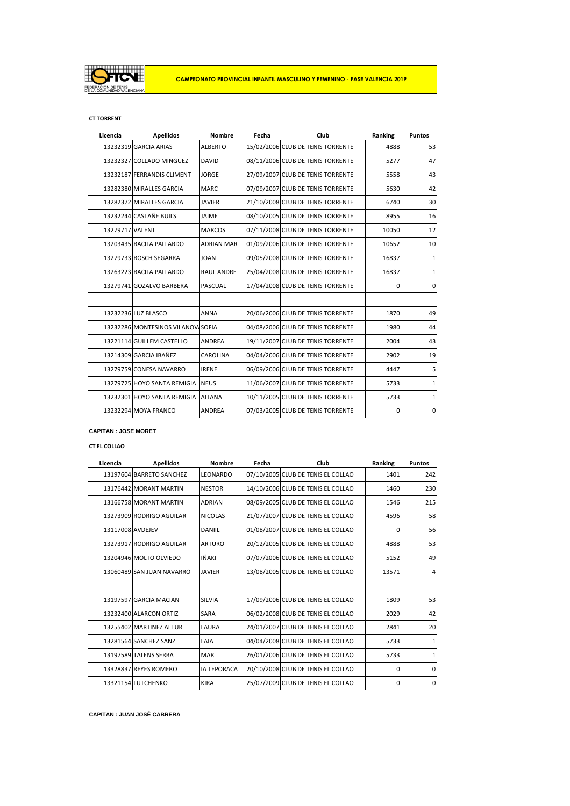

## **CT TORRENT**

| Licencia        | <b>Apellidos</b>                  | <b>Nombre</b>     | Fecha | Club                              | Ranking     | <b>Puntos</b>  |
|-----------------|-----------------------------------|-------------------|-------|-----------------------------------|-------------|----------------|
|                 | 13232319 GARCIA ARIAS             | <b>ALBERTO</b>    |       | 15/02/2006 CLUB DE TENIS TORRENTE | 4888        | 53             |
|                 | 13232327 COLLADO MINGUEZ          | <b>DAVID</b>      |       | 08/11/2006 CLUB DE TENIS TORRENTE | 5277        | 47             |
|                 | 13232187 FERRANDIS CLIMENT        | <b>JORGE</b>      |       | 27/09/2007 CLUB DE TENIS TORRENTE | 5558        | 43             |
|                 | 13282380 MIRALLES GARCIA          | <b>MARC</b>       |       | 07/09/2007 CLUB DE TENIS TORRENTE | 5630        | 42             |
|                 | 13282372 MIRALLES GARCIA          | <b>JAVIER</b>     |       | 21/10/2008 CLUB DE TENIS TORRENTE | 6740        | 30             |
|                 | 13232244 CASTAÑE BUILS            | <b>JAIME</b>      |       | 08/10/2005 CLUB DE TENIS TORRENTE | 8955        | 16             |
| 13279717 VALENT |                                   | <b>MARCOS</b>     |       | 07/11/2008 CLUB DE TENIS TORRENTE | 10050       | 12             |
|                 | 13203435 BACILA PALLARDO          | <b>ADRIAN MAR</b> |       | 01/09/2006 CLUB DE TENIS TORRENTE | 10652       | 10             |
|                 | 13279733 BOSCH SEGARRA            | <b>JOAN</b>       |       | 09/05/2008 CLUB DE TENIS TORRENTE | 16837       | $\mathbf{1}$   |
|                 | 13263223 BACILA PALLARDO          | <b>RAUL ANDRE</b> |       | 25/04/2008 CLUB DE TENIS TORRENTE | 16837       | $\mathbf{1}$   |
|                 | 13279741 GOZALVO BARBERA          | <b>PASCUAL</b>    |       | 17/04/2008 CLUB DE TENIS TORRENTE | $\mathbf 0$ | $\Omega$       |
|                 |                                   |                   |       |                                   |             |                |
|                 | 13232236 LUZ BLASCO               | <b>ANNA</b>       |       | 20/06/2006 CLUB DE TENIS TORRENTE | 1870        | 49             |
|                 | 13232286 MONTESINOS VILANOV/SOFIA |                   |       | 04/08/2006 CLUB DE TENIS TORRENTE | 1980        | 44             |
|                 | 13221114 GUILLEM CASTELLO         | <b>ANDREA</b>     |       | 19/11/2007 CLUB DE TENIS TORRENTE | 2004        | 43             |
|                 | 13214309 GARCIA IBAÑEZ            | CAROLINA          |       | 04/04/2006 CLUB DE TENIS TORRENTE | 2902        | 19             |
|                 | 13279759 CONESA NAVARRO           | <b>IRENE</b>      |       | 06/09/2006 CLUB DE TENIS TORRENTE | 4447        | 5 <sup>1</sup> |
|                 | 13279725 HOYO SANTA REMIGIA       | <b>NEUS</b>       |       | 11/06/2007 CLUB DE TENIS TORRENTE | 5733        | $\mathbf{1}$   |
|                 | 13232301 HOYO SANTA REMIGIA       | <b>AITANA</b>     |       | 10/11/2005 CLUB DE TENIS TORRENTE | 5733        | $\mathbf{1}$   |
|                 | 13232294 MOYA FRANCO              | <b>ANDREA</b>     |       | 07/03/2005 CLUB DE TENIS TORRENTE | $\mathbf 0$ | $\mathbf 0$    |
|                 |                                   |                   |       |                                   |             |                |

## **CAPITAN : JOSE MORET**

# **CT EL COLLAO**

| Licencia         | <b>Apellidos</b>          | <b>Nombre</b>      | Fecha | Club                               | Ranking | <b>Puntos</b>  |
|------------------|---------------------------|--------------------|-------|------------------------------------|---------|----------------|
|                  | 13197604 BARRETO SANCHEZ  | LEONARDO           |       | 07/10/2005 CLUB DE TENIS EL COLLAO | 1401    | 242            |
|                  | 13176442 MORANT MARTIN    | <b>NESTOR</b>      |       | 14/10/2006 CLUB DE TENIS EL COLLAO | 1460    | 230            |
|                  | 13166758 MORANT MARTIN    | <b>ADRIAN</b>      |       | 08/09/2005 CLUB DE TENIS EL COLLAO | 1546    | 215            |
|                  | 13273909 RODRIGO AGUILAR  | <b>NICOLAS</b>     |       | 21/07/2007 CLUB DE TENIS EL COLLAO | 4596    | 58             |
| 13117008 AVDEJEV |                           | <b>DANIIL</b>      |       | 01/08/2007 CLUB DE TENIS EL COLLAO | 0       | 56             |
|                  | 13273917 RODRIGO AGUILAR  | <b>ARTURO</b>      |       | 20/12/2005 CLUB DE TENIS EL COLLAO | 4888    | 53             |
|                  | 13204946 MOLTO OLVIEDO    | <b>IÑAKI</b>       |       | 07/07/2006 CLUB DE TENIS EL COLLAO | 5152    | 49             |
|                  | 13060489 SAN JUAN NAVARRO | <b>JAVIER</b>      |       | 13/08/2005 CLUB DE TENIS EL COLLAO | 13571   | $\overline{4}$ |
|                  |                           |                    |       |                                    |         |                |
|                  | 13197597 GARCIA MACIAN    | <b>SILVIA</b>      |       | 17/09/2006 CLUB DE TENIS EL COLLAO | 1809    | 53             |
|                  | 13232400 ALARCON ORTIZ    | SARA               |       | 06/02/2008 CLUB DE TENIS EL COLLAO | 2029    | 42             |
|                  | 13255402 MARTINEZ ALTUR   | LAURA              |       | 24/01/2007 CLUB DE TENIS EL COLLAO | 2841    | 20             |
|                  | 13281564 SANCHEZ SANZ     | LAIA               |       | 04/04/2008 CLUB DE TENIS EL COLLAO | 5733    | $\mathbf{1}$   |
|                  | 13197589 TALENS SERRA     | <b>MAR</b>         |       | 26/01/2006 CLUB DE TENIS EL COLLAO | 5733    | $\mathbf{1}$   |
|                  | 13328837 REYES ROMERO     | <b>IA TEPORACA</b> |       | 20/10/2008 CLUB DE TENIS EL COLLAO | 0       | $\Omega$       |
|                  | 13321154 LUTCHENKO        | <b>KIRA</b>        |       | 25/07/2009 CLUB DE TENIS EL COLLAO | 0       | $\mathbf 0$    |

**CAPITAN : JUAN JOSÉ CABRERA**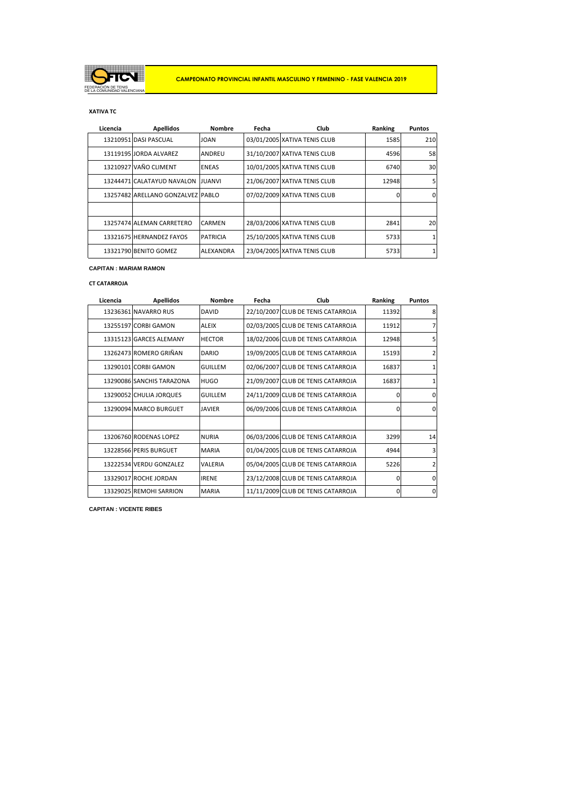

# **XATIVA TC**

| Licencia | <b>Apellidos</b>                  | <b>Nombre</b>    | Fecha | Club                         | Ranking | <b>Puntos</b> |
|----------|-----------------------------------|------------------|-------|------------------------------|---------|---------------|
|          | 13210951 DASI PASCUAL             | <b>JOAN</b>      |       | 03/01/2005 XATIVA TENIS CLUB | 1585    | 210           |
|          | 13119195 JORDA ALVAREZ            | <b>ANDREU</b>    |       | 31/10/2007 XATIVA TENIS CLUB | 4596    | 58            |
|          | 13210927 VAÑO CLIMENT             | <b>ENEAS</b>     |       | 10/01/2005 XATIVA TENIS CLUB | 6740    | 30            |
|          | 13244471 CALATAYUD NAVALON JUANVI |                  |       | 21/06/2007 XATIVA TENIS CLUB | 12948   | 5             |
|          | 13257482 ARELLANO GONZALVEZ PABLO |                  |       | 07/02/2009 XATIVA TENIS CLUB | 0       | 0             |
|          |                                   |                  |       |                              |         |               |
|          | 13257474 ALEMAN CARRETERO         | <b>CARMEN</b>    |       | 28/03/2006 XATIVA TENIS CLUB | 2841    | 20            |
|          | 13321675 HERNANDEZ FAYOS          | <b>PATRICIA</b>  |       | 25/10/2005 XATIVA TENIS CLUB | 5733    |               |
|          | 13321790 BENITO GOMEZ             | <b>ALEXANDRA</b> |       | 23/04/2005 XATIVA TENIS CLUB | 5733    |               |

### **CAPITAN : MARIAM RAMON**

# **CT CATARROJA**

| Licencia | <b>Apellidos</b>          | <b>Nombre</b>  | Fecha | Club                               | Ranking  | <b>Puntos</b>  |
|----------|---------------------------|----------------|-------|------------------------------------|----------|----------------|
|          | 13236361 NAVARRO RUS      | <b>DAVID</b>   |       | 22/10/2007 CLUB DE TENIS CATARROJA | 11392    | 8              |
|          | 13255197 CORBI GAMON      | <b>ALEIX</b>   |       | 02/03/2005 CLUB DE TENIS CATARROJA | 11912    | $\overline{7}$ |
|          | 13315123 GARCES ALEMANY   | <b>HECTOR</b>  |       | 18/02/2006 CLUB DE TENIS CATARROJA | 12948    | 5              |
|          | 13262473 ROMERO GRIÑAN    | <b>DARIO</b>   |       | 19/09/2005 CLUB DE TENIS CATARROJA | 15193    | $\overline{2}$ |
|          | 13290101 CORBI GAMON      | <b>GUILLEM</b> |       | 02/06/2007 CLUB DE TENIS CATARROJA | 16837    | 1              |
|          | 13290086 SANCHIS TARAZONA | <b>HUGO</b>    |       | 21/09/2007 CLUB DE TENIS CATARROJA | 16837    | 1              |
|          | 13290052 CHULIA JORQUES   | <b>GUILLEM</b> |       | 24/11/2009 CLUB DE TENIS CATARROJA | $\Omega$ | $\Omega$       |
|          | 13290094 MARCO BURGUET    | <b>JAVIER</b>  |       | 06/09/2006 CLUB DE TENIS CATARROJA | 0        | $\Omega$       |
|          |                           |                |       |                                    |          |                |
|          | 13206760 RODENAS LOPEZ    | <b>NURIA</b>   |       | 06/03/2006 CLUB DE TENIS CATARROJA | 3299     | 14             |
|          | 13228566 PERIS BURGUET    | <b>MARIA</b>   |       | 01/04/2005 CLUB DE TENIS CATARROJA | 4944     | $\overline{3}$ |
|          | 13222534 VERDU GONZALEZ   | VALERIA        |       | 05/04/2005 CLUB DE TENIS CATARROJA | 5226     | $\overline{2}$ |
|          | 13329017 ROCHE JORDAN     | <b>IRENE</b>   |       | 23/12/2008 CLUB DE TENIS CATARROJA | $\Omega$ | $\Omega$       |
|          | 13329025 REMOHI SARRION   | <b>MARIA</b>   |       | 11/11/2009 CLUB DE TENIS CATARROJA | $\Omega$ | $\Omega$       |

**CAPITAN : VICENTE RIBES**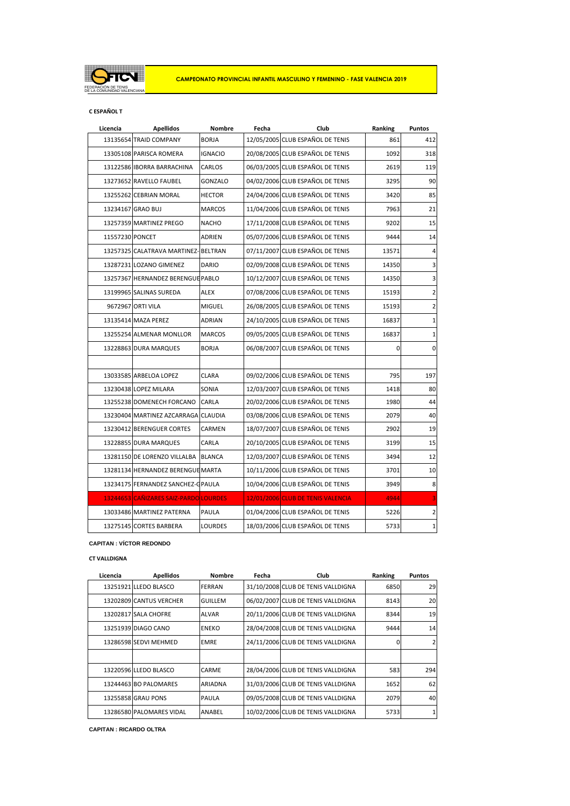

## **C ESPAÑOL T**

| Licencia        | <b>Apellidos</b>                      | Nombre         | Fecha | Club                              | Ranking | <b>Puntos</b>           |
|-----------------|---------------------------------------|----------------|-------|-----------------------------------|---------|-------------------------|
|                 | 13135654 TRAID COMPANY                | <b>BORJA</b>   |       | 12/05/2005 CLUB ESPAÑOL DE TENIS  | 861     | 412                     |
|                 | 13305108 PARISCA ROMERA               | <b>IGNACIO</b> |       | 20/08/2005 CLUB ESPAÑOL DE TENIS  | 1092    | 318                     |
|                 | 13122586 IBORRA BARRACHINA            | CARLOS         |       | 06/03/2005 CLUB ESPAÑOL DE TENIS  | 2619    | 119                     |
|                 | 13273652 RAVELLO FAUBEL               | <b>GONZALO</b> |       | 04/02/2006 CLUB ESPAÑOL DE TENIS  | 3295    | 90                      |
|                 | 13255262 CEBRIAN MORAL                | <b>HECTOR</b>  |       | 24/04/2006 CLUB ESPAÑOL DE TENIS  | 3420    | 85                      |
|                 | 13234167 GRAO BUJ                     | <b>MARCOS</b>  |       | 11/04/2006 CLUB ESPAÑOL DE TENIS  | 7963    | 21                      |
|                 | 13257359 MARTINEZ PREGO               | <b>NACHO</b>   |       | 17/11/2008 CLUB ESPAÑOL DE TENIS  | 9202    | 15                      |
| 11557230 PONCET |                                       | <b>ADRIEN</b>  |       | 05/07/2006 CLUB ESPAÑOL DE TENIS  | 9444    | 14                      |
|                 | 13257325 CALATRAVA MARTINEZ- BELTRAN  |                |       | 07/11/2007 CLUB ESPAÑOL DE TENIS  | 13571   | 4                       |
|                 | 13287231 LOZANO GIMENEZ               | <b>DARIO</b>   |       | 02/09/2008 CLUB ESPAÑOL DE TENIS  | 14350   | 3                       |
|                 | 13257367 HERNANDEZ BERENGUE PABLO     |                |       | 10/12/2007 CLUB ESPAÑOL DE TENIS  | 14350   | $\overline{\mathbf{3}}$ |
|                 | 13199965 SALINAS SUREDA               | <b>ALEX</b>    |       | 07/08/2006 CLUB ESPAÑOL DE TENIS  | 15193   | $\overline{2}$          |
|                 | 9672967 ORTI VILA                     | MIGUEL         |       | 26/08/2005 CLUB ESPAÑOL DE TENIS  | 15193   | 2                       |
|                 | 13135414 MAZA PEREZ                   | <b>ADRIAN</b>  |       | 24/10/2005 CLUB ESPAÑOL DE TENIS  | 16837   | $\mathbf{1}$            |
|                 | 13255254 ALMENAR MONLLOR              | <b>MARCOS</b>  |       | 09/05/2005 CLUB ESPAÑOL DE TENIS  | 16837   | $\mathbf{1}$            |
|                 | 13228863 DURA MARQUES                 | <b>BORJA</b>   |       | 06/08/2007 CLUB ESPAÑOL DE TENIS  | 0       | $\overline{0}$          |
|                 |                                       |                |       |                                   |         |                         |
|                 | 13033585 ARBELOA LOPEZ                | <b>CLARA</b>   |       | 09/02/2006 CLUB ESPAÑOL DE TENIS  | 795     | 197                     |
|                 | 13230438 LOPEZ MILARA                 | SONIA          |       | 12/03/2007 CLUB ESPAÑOL DE TENIS  | 1418    | 80                      |
|                 | 13255238 DOMENECH FORCANO             | CARLA          |       | 20/02/2006 CLUB ESPAÑOL DE TENIS  | 1980    | 44                      |
|                 | 13230404 MARTINEZ AZCARRAGA CLAUDIA   |                |       | 03/08/2006 CLUB ESPAÑOL DE TENIS  | 2079    | 40                      |
|                 | 13230412 BERENGUER CORTES             | CARMEN         |       | 18/07/2007 CLUB ESPAÑOL DE TENIS  | 2902    | 19                      |
|                 | 13228855 DURA MARQUES                 | CARLA          |       | 20/10/2005 CLUB ESPAÑOL DE TENIS  | 3199    | 15                      |
|                 | 13281150 DE LORENZO VILLALBA BLANCA   |                |       | 12/03/2007 CLUB ESPAÑOL DE TENIS  | 3494    | 12                      |
|                 | 13281134 HERNANDEZ BERENGUE MARTA     |                |       | 10/11/2006 CLUB ESPAÑOL DE TENIS  | 3701    | 10                      |
|                 | 13234175 FERNANDEZ SANCHEZ-G PAULA    |                |       | 10/04/2006 CLUB ESPAÑOL DE TENIS  | 3949    | $\bf 8$                 |
|                 | 13244653 CAÑIZARES SAIZ-PARDO LOURDES |                |       | 12/01/2006 CLUB DE TENIS VALENCIA | 4944    | 3                       |
|                 | 13033486 MARTINEZ PATERNA             | <b>PAULA</b>   |       | 01/04/2006 CLUB ESPAÑOL DE TENIS  | 5226    | $\overline{2}$          |
|                 | 13275145 CORTES BARBERA               | <b>LOURDES</b> |       | 18/03/2006 CLUB ESPAÑOL DE TENIS  | 5733    | $\mathbf{1}$            |

### **CAPITAN : VÍCTOR REDONDO**

### **CT VALLDIGNA**

| Licencia | <b>Apellidos</b>         | <b>Nombre</b>  | Fecha | Club                               | Ranking | <b>Puntos</b>  |
|----------|--------------------------|----------------|-------|------------------------------------|---------|----------------|
|          | 13251921 LLEDO BLASCO    | <b>FERRAN</b>  |       | 31/10/2008 CLUB DE TENIS VALLDIGNA | 6850    | 29             |
|          | 13202809 CANTUS VERCHER  | <b>GUILLEM</b> |       | 06/02/2007 CLUB DE TENIS VALLDIGNA | 8143    | <b>20</b>      |
|          | 13202817 SALA CHOFRE     | <b>ALVAR</b>   |       | 20/11/2006 CLUB DE TENIS VALLDIGNA | 8344    | 19             |
|          | 13251939 DIAGO CANO      | <b>ENEKO</b>   |       | 28/04/2008 CLUB DE TENIS VALLDIGNA | 9444    | 14             |
|          | 13286598 SEDVI MEHMED    | <b>EMRE</b>    |       | 24/11/2006 CLUB DE TENIS VALLDIGNA | 0       | $\overline{2}$ |
|          |                          |                |       |                                    |         |                |
|          | 13220596 LLEDO BLASCO    | CARME          |       | 28/04/2006 CLUB DE TENIS VALLDIGNA | 583     | 294            |
|          | 13244463 BO PALOMARES    | ARIADNA        |       | 31/03/2006 CLUB DE TENIS VALLDIGNA | 1652    | 62             |
|          | 13255858 GRAU PONS       | PAULA          |       | 09/05/2008 CLUB DE TENIS VALLDIGNA | 2079    | 40             |
|          | 13286580 PALOMARES VIDAL | <b>ANABEL</b>  |       | 10/02/2006 CLUB DE TENIS VALLDIGNA | 5733    | 1 <sup>1</sup> |

**CAPITAN : RICARDO OLTRA**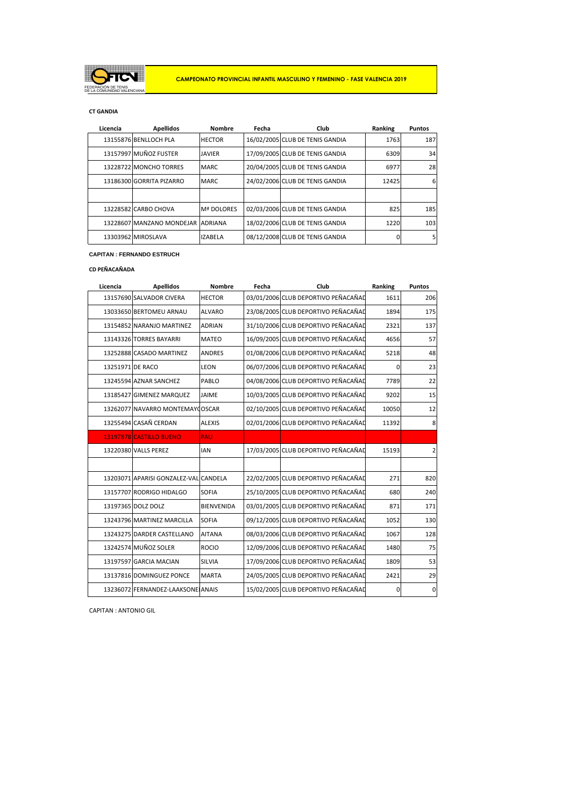

# **CT GANDIA**

| Licencia | <b>Apellidos</b>                  | <b>Nombre</b>     | Fecha | Club                            | Ranking | <b>Puntos</b> |
|----------|-----------------------------------|-------------------|-------|---------------------------------|---------|---------------|
|          | 13155876 BENLLOCH PLA             | <b>HECTOR</b>     |       | 16/02/2005 CLUB DE TENIS GANDIA | 1763    | 187           |
|          | 13157997 MUÑOZ FUSTER             | <b>JAVIER</b>     |       | 17/09/2005 CLUB DE TENIS GANDIA | 6309    | 34            |
|          | 13228722 MONCHO TORRES            | <b>MARC</b>       |       | 20/04/2005 CLUB DE TENIS GANDIA | 6977    | 28            |
|          | 13186300 GORRITA PIZARRO          | <b>MARC</b>       |       | 24/02/2006 CLUB DE TENIS GANDIA | 12425   | 6             |
|          |                                   |                   |       |                                 |         |               |
|          | 13228582 CARBO CHOVA              | <b>Mª DOLORES</b> |       | 02/03/2006 CLUB DE TENIS GANDIA | 825     | 185           |
|          | 13228607 MANZANO MONDEJAR ADRIANA |                   |       | 18/02/2006 CLUB DE TENIS GANDIA | 1220    | 103           |
|          | 13303962 MIROSLAVA                | <b>IZABELA</b>    |       | 08/12/2008 CLUB DE TENIS GANDIA | ŋ       |               |

### **CAPITAN : FERNANDO ESTRUCH**

## **CD PEÑACAÑADA**

| Licencia         | <b>Apellidos</b>                      | <b>Nombre</b>     | Fecha | Club                                | Ranking     | <b>Puntos</b>  |
|------------------|---------------------------------------|-------------------|-------|-------------------------------------|-------------|----------------|
|                  | 13157690 SALVADOR CIVERA              | <b>HECTOR</b>     |       | 03/01/2006 CLUB DEPORTIVO PEÑACAÑAD | 1611        | 206            |
|                  | 13033650 BERTOMEU ARNAU               | <b>ALVARO</b>     |       | 23/08/2005 CLUB DEPORTIVO PEÑACAÑAD | 1894        | 175            |
|                  | 13154852 NARANJO MARTINEZ             | <b>ADRIAN</b>     |       | 31/10/2006 CLUB DEPORTIVO PEÑACAÑAD | 2321        | 137            |
|                  | 13143326 TORRES BAYARRI               | <b>MATEO</b>      |       | 16/09/2005 CLUB DEPORTIVO PEÑACAÑAD | 4656        | 57             |
|                  | 13252888 CASADO MARTINEZ              | <b>ANDRES</b>     |       | 01/08/2006 CLUB DEPORTIVO PEÑACAÑAD | 5218        | 48             |
| 13251971 DE RACO |                                       | LEON              |       | 06/07/2006 CLUB DEPORTIVO PEÑACAÑAD | $\mathbf 0$ | 23             |
|                  | 13245594 AZNAR SANCHEZ                | PABLO             |       | 04/08/2006 CLUB DEPORTIVO PEÑACAÑAD | 7789        | 22             |
|                  | 13185427 GIMENEZ MARQUEZ              | JAIME             |       | 10/03/2005 CLUB DEPORTIVO PEÑACAÑAD | 9202        | 15             |
|                  | 13262077 NAVARRO MONTEMAYOOSCAR       |                   |       | 02/10/2005 CLUB DEPORTIVO PEÑACAÑAD | 10050       | 12             |
|                  | 13255494 CASAÑ CERDAN                 | <b>ALEXIS</b>     |       | 02/01/2006 CLUB DEPORTIVO PEÑACAÑAD | 11392       | 8              |
|                  | 13197878 CASTILLO BUENO               | PAU               |       |                                     |             |                |
|                  | 13220380 VALLS PEREZ                  | <b>IAN</b>        |       | 17/03/2005 CLUB DEPORTIVO PEÑACAÑAD | 15193       | $\overline{2}$ |
|                  |                                       |                   |       |                                     |             |                |
|                  | 13203071 APARISI GONZALEZ-VAL CANDELA |                   |       | 22/02/2005 CLUB DEPORTIVO PEÑACAÑAD | 271         | 820            |
|                  | 13157707 RODRIGO HIDALGO              | <b>SOFIA</b>      |       | 25/10/2005 CLUB DEPORTIVO PEÑACAÑAD | 680         | 240            |
|                  | 13197365 DOLZ DOLZ                    | <b>BIENVENIDA</b> |       | 03/01/2005 CLUB DEPORTIVO PEÑACAÑAD | 871         | 171            |
|                  | 13243796 MARTINEZ MARCILLA            | <b>SOFIA</b>      |       | 09/12/2005 CLUB DEPORTIVO PEÑACAÑAD | 1052        | 130            |
|                  | 13243275 DARDER CASTELLANO            | <b>AITANA</b>     |       | 08/03/2006 CLUB DEPORTIVO PEÑACAÑAD | 1067        | 128            |
|                  | 13242574 MUÑOZ SOLER                  | <b>ROCIO</b>      |       | 12/09/2006 CLUB DEPORTIVO PEÑACAÑAD | 1480        | 75             |
|                  | 13197597 GARCIA MACIAN                | SILVIA            |       | 17/09/2006 CLUB DEPORTIVO PEÑACAÑAD | 1809        | 53             |
|                  | 13137816 DOMINGUEZ PONCE              | <b>MARTA</b>      |       | 24/05/2005 CLUB DEPORTIVO PEÑACAÑAD | 2421        | 29             |
|                  | 13236072 FERNANDEZ-LAAKSONE ANAIS     |                   |       | 15/02/2005 CLUB DEPORTIVO PEÑACAÑAD | $\mathbf 0$ | $\mathbf 0$    |

CAPITAN : ANTONIO GIL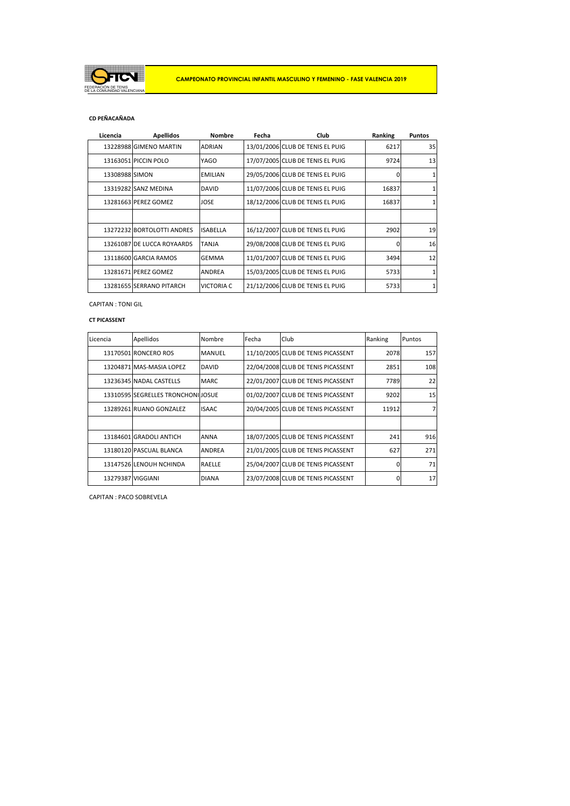

## **CD PEÑACAÑADA**

| Licencia       | <b>Apellidos</b>           | <b>Nombre</b>     | Fecha | Club                             | Ranking  | <b>Puntos</b>   |
|----------------|----------------------------|-------------------|-------|----------------------------------|----------|-----------------|
|                | 13228988 GIMENO MARTIN     | <b>ADRIAN</b>     |       | 13/01/2006 CLUB DE TENIS EL PUIG | 6217     | 35 <sub>1</sub> |
|                | 13163051 PICCIN POLO       | YAGO              |       | 17/07/2005 CLUB DE TENIS EL PUIG | 9724     | 13 <sup>1</sup> |
| 13308988 SIMON |                            | <b>EMILIAN</b>    |       | 29/05/2006 CLUB DE TENIS EL PUIG | O        | $\mathbf{1}$    |
|                | 13319282 SANZ MEDINA       | <b>DAVID</b>      |       | 11/07/2006 CLUB DE TENIS EL PUIG | 16837    |                 |
|                | 13281663 PEREZ GOMEZ       | <b>JOSE</b>       |       | 18/12/2006 CLUB DE TENIS EL PUIG | 16837    |                 |
|                |                            |                   |       |                                  |          |                 |
|                | 13272232 BORTOLOTTI ANDRES | <b>ISABELLA</b>   |       | 16/12/2007 CLUB DE TENIS EL PUIG | 2902     | 19 <sup>1</sup> |
|                | 13261087 DE LUCCA ROYAARDS | <b>TANJA</b>      |       | 29/08/2008 CLUB DE TENIS EL PUIG | $\Omega$ | 16              |
|                | 13118600 GARCIA RAMOS      | <b>GEMMA</b>      |       | 11/01/2007 CLUB DE TENIS EL PUIG | 3494     | 12              |
|                | 13281671 PEREZ GOMEZ       | <b>ANDREA</b>     |       | 15/03/2005 CLUB DE TENIS EL PUIG | 5733     | 11              |
|                | 13281655 SERRANO PITARCH   | <b>VICTORIA C</b> |       | 21/12/2006 CLUB DE TENIS EL PUIG | 5733     |                 |

CAPITAN : TONI GIL

## **CT PICASSENT**

| Licencia          | Apellidos                          | Nombre        | Fecha | Club                               | Ranking  | Puntos          |
|-------------------|------------------------------------|---------------|-------|------------------------------------|----------|-----------------|
|                   | 13170501 RONCERO ROS               | <b>MANUEL</b> |       | 11/10/2005 CLUB DE TENIS PICASSENT | 2078     | 157             |
|                   | 13204871 MAS-MASIA LOPEZ           | <b>DAVID</b>  |       | 22/04/2008 CLUB DE TENIS PICASSENT | 2851     | 108             |
|                   | 13236345 NADAL CASTELLS            | <b>MARC</b>   |       | 22/01/2007 CLUB DE TENIS PICASSENT | 7789     | 22              |
|                   | 13310595 SEGRELLES TRONCHONILIOSUE |               |       | 01/02/2007 CLUB DE TENIS PICASSENT | 9202     | 15 <sup>1</sup> |
|                   | 13289261 RUANO GONZALEZ            | <b>ISAAC</b>  |       | 20/04/2005 CLUB DE TENIS PICASSENT | 11912    | 71              |
|                   |                                    |               |       |                                    |          |                 |
|                   | 13184601 GRADOLI ANTICH            | <b>ANNA</b>   |       | 18/07/2005 CLUB DE TENIS PICASSENT | 241      | 916             |
|                   | 13180120 PASCUAL BLANCA            | <b>ANDREA</b> |       | 21/01/2005 CLUB DE TENIS PICASSENT | 627      | 271             |
|                   | 13147526 LENOUH NCHINDA            | <b>RAELLE</b> |       | 25/04/2007 CLUB DE TENIS PICASSENT | $\Omega$ | 71              |
| 13279387 VIGGIANI |                                    | <b>DIANA</b>  |       | 23/07/2008 CLUB DE TENIS PICASSENT | O        | 17 <sup>1</sup> |

CAPITAN : PACO SOBREVELA